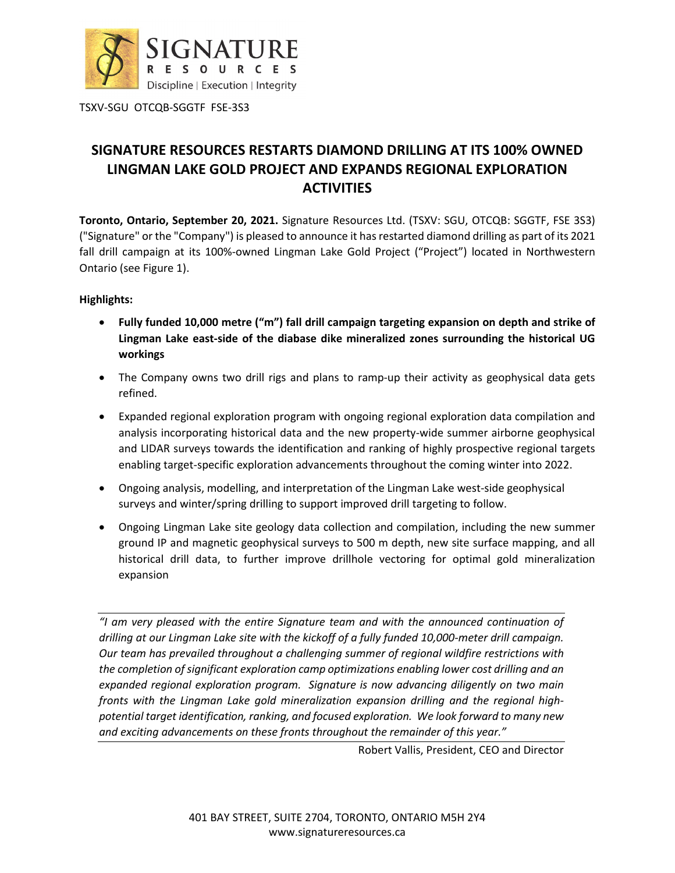

TSXV-SGU OTCQB-SGGTF FSE-3S3

## **SIGNATURE RESOURCES RESTARTS DIAMOND DRILLING AT ITS 100% OWNED LINGMAN LAKE GOLD PROJECT AND EXPANDS REGIONAL EXPLORATION ACTIVITIES**

**Toronto, Ontario, September 20, 2021.** Signature Resources Ltd. (TSXV: SGU, OTCQB: SGGTF, FSE 3S3) ("Signature" or the "Company") is pleased to announce it has restarted diamond drilling as part of its 2021 fall drill campaign at its 100%-owned Lingman Lake Gold Project ("Project") located in Northwestern Ontario (see Figure 1).

**Highlights:**

- **Fully funded 10,000 metre ("m") fall drill campaign targeting expansion on depth and strike of Lingman Lake east-side of the diabase dike mineralized zones surrounding the historical UG workings**
- The Company owns two drill rigs and plans to ramp-up their activity as geophysical data gets refined.
- Expanded regional exploration program with ongoing regional exploration data compilation and analysis incorporating historical data and the new property-wide summer airborne geophysical and LIDAR surveys towards the identification and ranking of highly prospective regional targets enabling target-specific exploration advancements throughout the coming winter into 2022.
- Ongoing analysis, modelling, and interpretation of the Lingman Lake west-side geophysical surveys and winter/spring drilling to support improved drill targeting to follow.
- Ongoing Lingman Lake site geology data collection and compilation, including the new summer ground IP and magnetic geophysical surveys to 500 m depth, new site surface mapping, and all historical drill data, to further improve drillhole vectoring for optimal gold mineralization expansion

*"I am very pleased with the entire Signature team and with the announced continuation of drilling at our Lingman Lake site with the kickoff of a fully funded 10,000-meter drill campaign. Our team has prevailed throughout a challenging summer of regional wildfire restrictions with the completion of significant exploration camp optimizations enabling lower cost drilling and an expanded regional exploration program. Signature is now advancing diligently on two main fronts with the Lingman Lake gold mineralization expansion drilling and the regional highpotential target identification, ranking, and focused exploration. We look forward to many new and exciting advancements on these fronts throughout the remainder of this year."*

Robert Vallis, President, CEO and Director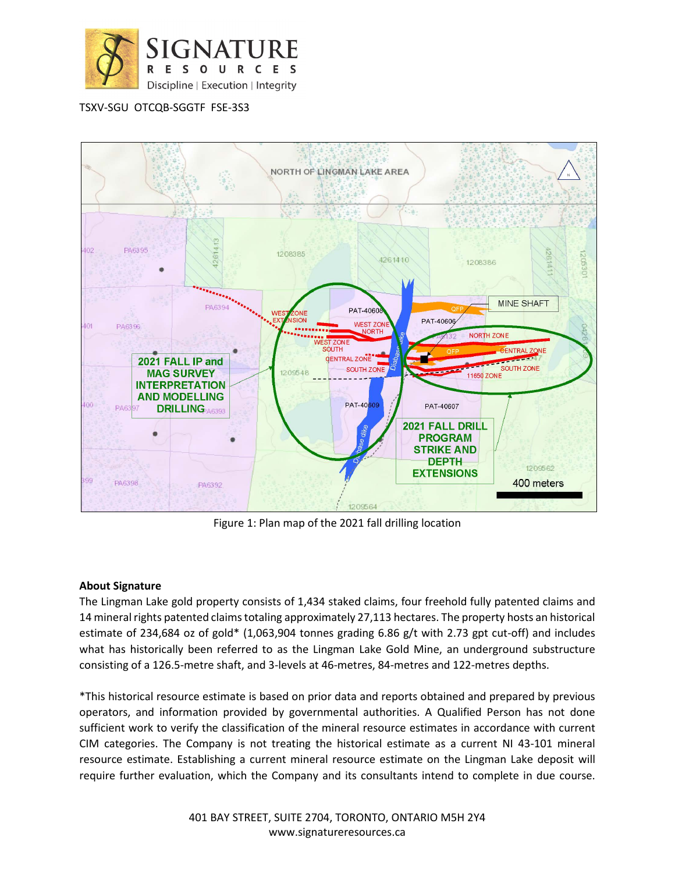

TSXV-SGU OTCQB-SGGTF FSE-3S3



Figure 1: Plan map of the 2021 fall drilling location

## **About Signature**

The Lingman Lake gold property consists of 1,434 staked claims, four freehold fully patented claims and 14 mineral rights patented claims totaling approximately 27,113 hectares. The property hosts an historical estimate of 234,684 oz of gold\* (1,063,904 tonnes grading 6.86 g/t with 2.73 gpt cut-off) and includes what has historically been referred to as the Lingman Lake Gold Mine, an underground substructure consisting of a 126.5-metre shaft, and 3-levels at 46-metres, 84-metres and 122-metres depths.

\*This historical resource estimate is based on prior data and reports obtained and prepared by previous operators, and information provided by governmental authorities. A Qualified Person has not done sufficient work to verify the classification of the mineral resource estimates in accordance with current CIM categories. The Company is not treating the historical estimate as a current NI 43-101 mineral resource estimate. Establishing a current mineral resource estimate on the Lingman Lake deposit will require further evaluation, which the Company and its consultants intend to complete in due course.